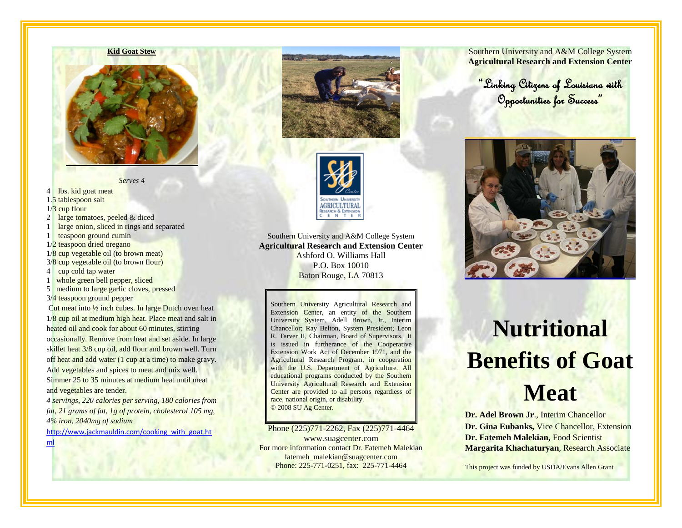

*Serves 4*

4 lbs. kid goat meat 1.5 tablespoon salt

1/3 cup flour

- 2 large tomatoes, peeled & diced
- 1 large onion, sliced in rings and separated

1 teaspoon ground cumin

- 1/2 teaspoon dried oregano
- 1/8 cup vegetable oil (to brown meat)
- 3/8 cup vegetable oil (to brown flour)
- 4 cup cold tap water
- 1 whole green bell pepper, sliced
- 5 medium to large garlic cloves, pressed
- 3/4 teaspoon ground pepper

Cut meat into  $\frac{1}{2}$  inch cubes. In large Dutch oven heat 1/8 cup oil at medium high heat. Place meat and salt in heated oil and cook for about 60 minutes, stirring occasionally. Remove from heat and set aside. In large skillet heat 3/8 cup oil, add flour and brown well. Turn off heat and add water (1 cup at a time) to make gravy. Add vegetables and spices to meat and mix well. Simmer 25 to 35 minutes at medium heat until meat and vegetables are tender.

*4 servings, 220 calories per serving, 180 calories from fat, 21 grams of fat, 1g of protein, cholesterol 105 mg, 4% iron, 2040mg of sodium* 

[http://www.jackmauldin.com/cooking\\_with\\_goat.ht](http://www.jackmauldin.com/cooking_with_goat.html)





Southern University and A&M College System **Agricultural Research and Extension Center** Ashford O. Williams Hall P.O. Box 10010 Baton Rouge, LA 70813

Southern University Agricultural Research and Extension Center, an entity of the Southern University System, Adell Brown, Jr., Interim Chancellor; Ray Belton, System President; Leon R. Tarver II, Chairman, Board of Supervisors. It is issued in furtherance of the Cooperative Extension Work Act of December 1971, and the Agricultural Research Program, in cooperation with the U.S. Department of Agriculture. All educational programs conducted by the Southern University Agricultural Research and Extension Center are provided to all persons regardless of race, national origin, or disability. © 2008 SU Ag Center.

#### Phone (225)771-2262, Fax (225)771-4464

[www.suagcenter.com](http://www.suagcenter.com/) For more information contact Dr. Fatemeh Malekian fatemeh\_malekian@suagcenter.com Phone: 225-771-0251, fax: 225-771-4464

Southern University and A&M College System **Agricultural Research and Extension Center**

"Linking Citizens of Louisiana with Opportunities for Success"



# **Nutritional Benefits of Goat Meat**

**Dr. Adel Brown Jr**., Interim Chancellor **Dr. Gina Eubanks,** Vice Chancellor, Extension **Dr. Fatemeh Malekian,** Food Scientist **Margarita Khachaturyan**, Research Associate

This project was funded by USDA/Evans Allen Grant

[ml](http://www.jackmauldin.com/cooking_with_goat.html)